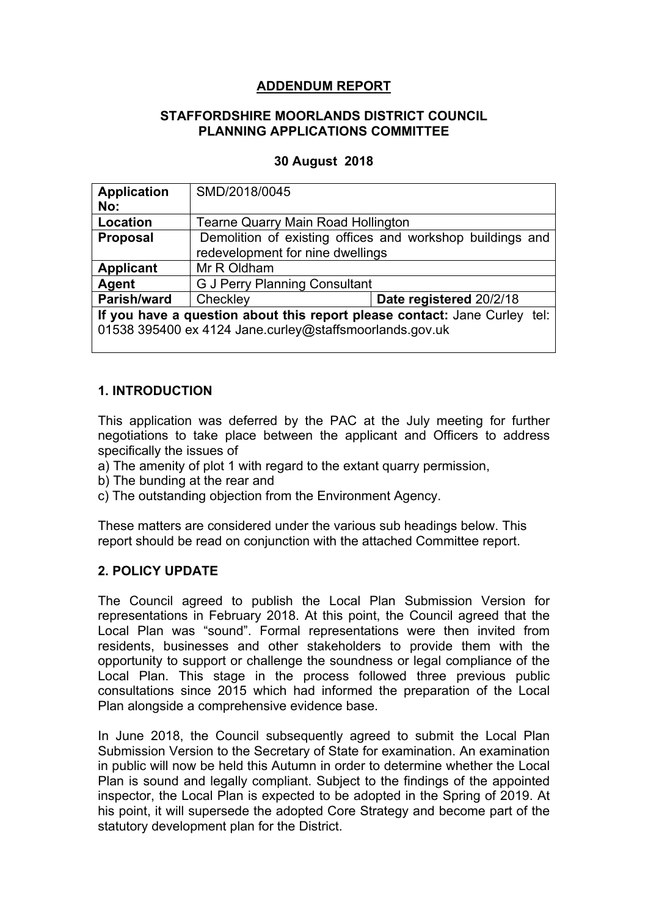# **ADDENDUM REPORT**

#### **STAFFORDSHIRE MOORLANDS DISTRICT COUNCIL PLANNING APPLICATIONS COMMITTEE**

# **30 August 2018**

| <b>Application</b>                                                        | SMD/2018/0045                                             |                         |
|---------------------------------------------------------------------------|-----------------------------------------------------------|-------------------------|
| No:                                                                       |                                                           |                         |
| Location                                                                  | <b>Tearne Quarry Main Road Hollington</b>                 |                         |
| Proposal                                                                  | Demolition of existing offices and workshop buildings and |                         |
|                                                                           | redevelopment for nine dwellings                          |                         |
| <b>Applicant</b>                                                          | Mr R Oldham                                               |                         |
| Agent                                                                     | <b>G J Perry Planning Consultant</b>                      |                         |
| Parish/ward                                                               | Checkley                                                  | Date registered 20/2/18 |
| If you have a question about this report please contact: Jane Curley tel: |                                                           |                         |
| 01538 395400 ex 4124 Jane.curley@staffsmoorlands.gov.uk                   |                                                           |                         |
|                                                                           |                                                           |                         |

# **1. INTRODUCTION**

This application was deferred by the PAC at the July meeting for further negotiations to take place between the applicant and Officers to address specifically the issues of

- a) The amenity of plot 1 with regard to the extant quarry permission,
- b) The bunding at the rear and
- c) The outstanding objection from the Environment Agency.

These matters are considered under the various sub headings below. This report should be read on conjunction with the attached Committee report.

# **2. POLICY UPDATE**

The Council agreed to publish the Local Plan Submission Version for representations in February 2018. At this point, the Council agreed that the Local Plan was "sound". Formal representations were then invited from residents, businesses and other stakeholders to provide them with the opportunity to support or challenge the soundness or legal compliance of the Local Plan. This stage in the process followed three previous public consultations since 2015 which had informed the preparation of the Local Plan alongside a comprehensive evidence base.

In June 2018, the Council subsequently agreed to submit the Local Plan Submission Version to the Secretary of State for examination. An examination in public will now be held this Autumn in order to determine whether the Local Plan is sound and legally compliant. Subject to the findings of the appointed inspector, the Local Plan is expected to be adopted in the Spring of 2019. At his point, it will supersede the adopted Core Strategy and become part of the statutory development plan for the District.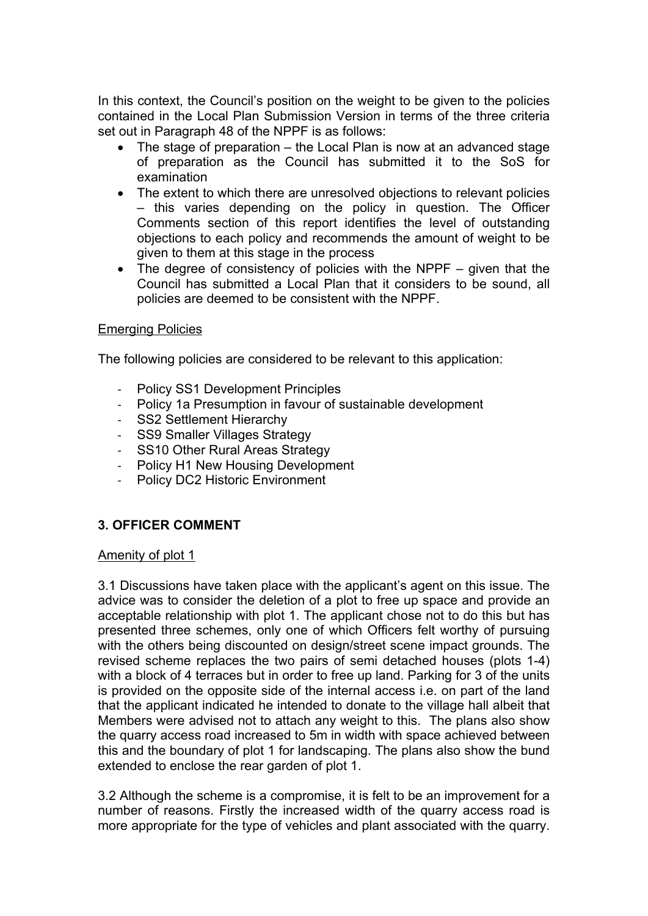In this context, the Council's position on the weight to be given to the policies contained in the Local Plan Submission Version in terms of the three criteria set out in Paragraph 48 of the NPPF is as follows:

- The stage of preparation the Local Plan is now at an advanced stage of preparation as the Council has submitted it to the SoS for examination
- The extent to which there are unresolved objections to relevant policies – this varies depending on the policy in question. The Officer Comments section of this report identifies the level of outstanding objections to each policy and recommends the amount of weight to be given to them at this stage in the process
- The degree of consistency of policies with the NPPF given that the Council has submitted a Local Plan that it considers to be sound, all policies are deemed to be consistent with the NPPF.

# Emerging Policies

The following policies are considered to be relevant to this application:

- Policy SS1 Development Principles
- Policy 1a Presumption in favour of sustainable development
- SS2 Settlement Hierarchy
- SS9 Smaller Villages Strategy
- SS10 Other Rural Areas Strategy
- Policy H1 New Housing Development
- Policy DC2 Historic Environment

# **3. OFFICER COMMENT**

#### Amenity of plot 1

3.1 Discussions have taken place with the applicant's agent on this issue. The advice was to consider the deletion of a plot to free up space and provide an acceptable relationship with plot 1. The applicant chose not to do this but has presented three schemes, only one of which Officers felt worthy of pursuing with the others being discounted on design/street scene impact grounds. The revised scheme replaces the two pairs of semi detached houses (plots 1-4) with a block of 4 terraces but in order to free up land. Parking for 3 of the units is provided on the opposite side of the internal access i.e. on part of the land that the applicant indicated he intended to donate to the village hall albeit that Members were advised not to attach any weight to this. The plans also show the quarry access road increased to 5m in width with space achieved between this and the boundary of plot 1 for landscaping. The plans also show the bund extended to enclose the rear garden of plot 1.

3.2 Although the scheme is a compromise, it is felt to be an improvement for a number of reasons. Firstly the increased width of the quarry access road is more appropriate for the type of vehicles and plant associated with the quarry.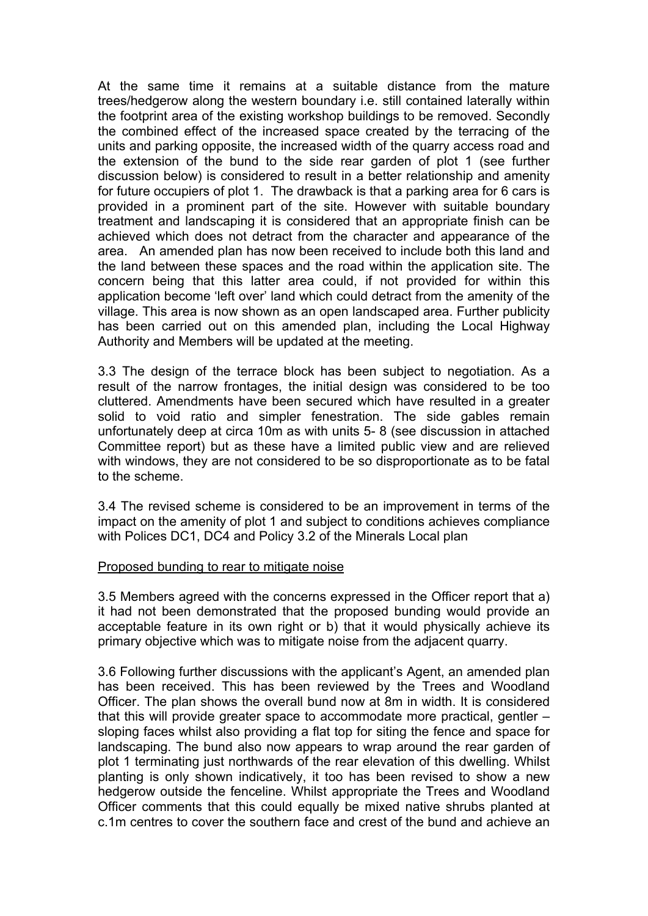At the same time it remains at a suitable distance from the mature trees/hedgerow along the western boundary i.e. still contained laterally within the footprint area of the existing workshop buildings to be removed. Secondly the combined effect of the increased space created by the terracing of the units and parking opposite, the increased width of the quarry access road and the extension of the bund to the side rear garden of plot 1 (see further discussion below) is considered to result in a better relationship and amenity for future occupiers of plot 1. The drawback is that a parking area for 6 cars is provided in a prominent part of the site. However with suitable boundary treatment and landscaping it is considered that an appropriate finish can be achieved which does not detract from the character and appearance of the area. An amended plan has now been received to include both this land and the land between these spaces and the road within the application site. The concern being that this latter area could, if not provided for within this application become 'left over' land which could detract from the amenity of the village. This area is now shown as an open landscaped area. Further publicity has been carried out on this amended plan, including the Local Highway Authority and Members will be updated at the meeting.

3.3 The design of the terrace block has been subject to negotiation. As a result of the narrow frontages, the initial design was considered to be too cluttered. Amendments have been secured which have resulted in a greater solid to void ratio and simpler fenestration. The side gables remain unfortunately deep at circa 10m as with units 5- 8 (see discussion in attached Committee report) but as these have a limited public view and are relieved with windows, they are not considered to be so disproportionate as to be fatal to the scheme.

3.4 The revised scheme is considered to be an improvement in terms of the impact on the amenity of plot 1 and subject to conditions achieves compliance with Polices DC1, DC4 and Policy 3.2 of the Minerals Local plan

#### Proposed bunding to rear to mitigate noise

3.5 Members agreed with the concerns expressed in the Officer report that a) it had not been demonstrated that the proposed bunding would provide an acceptable feature in its own right or b) that it would physically achieve its primary objective which was to mitigate noise from the adjacent quarry.

3.6 Following further discussions with the applicant's Agent, an amended plan has been received. This has been reviewed by the Trees and Woodland Officer. The plan shows the overall bund now at 8m in width. It is considered that this will provide greater space to accommodate more practical, gentler – sloping faces whilst also providing a flat top for siting the fence and space for landscaping. The bund also now appears to wrap around the rear garden of plot 1 terminating just northwards of the rear elevation of this dwelling. Whilst planting is only shown indicatively, it too has been revised to show a new hedgerow outside the fenceline. Whilst appropriate the Trees and Woodland Officer comments that this could equally be mixed native shrubs planted at c.1m centres to cover the southern face and crest of the bund and achieve an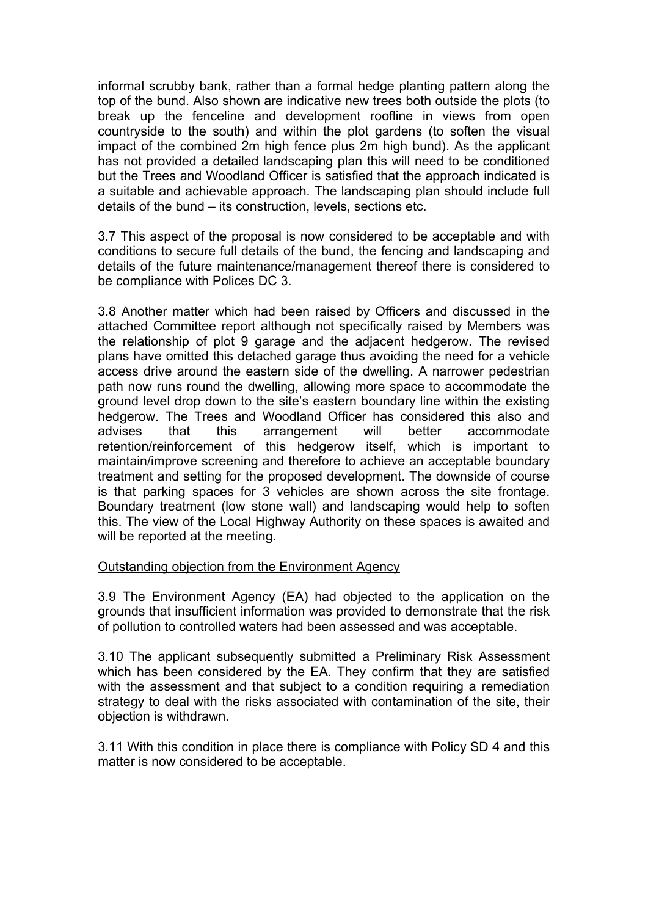informal scrubby bank, rather than a formal hedge planting pattern along the top of the bund. Also shown are indicative new trees both outside the plots (to break up the fenceline and development roofline in views from open countryside to the south) and within the plot gardens (to soften the visual impact of the combined 2m high fence plus 2m high bund). As the applicant has not provided a detailed landscaping plan this will need to be conditioned but the Trees and Woodland Officer is satisfied that the approach indicated is a suitable and achievable approach. The landscaping plan should include full details of the bund – its construction, levels, sections etc.

3.7 This aspect of the proposal is now considered to be acceptable and with conditions to secure full details of the bund, the fencing and landscaping and details of the future maintenance/management thereof there is considered to be compliance with Polices DC 3.

3.8 Another matter which had been raised by Officers and discussed in the attached Committee report although not specifically raised by Members was the relationship of plot 9 garage and the adjacent hedgerow. The revised plans have omitted this detached garage thus avoiding the need for a vehicle access drive around the eastern side of the dwelling. A narrower pedestrian path now runs round the dwelling, allowing more space to accommodate the ground level drop down to the site's eastern boundary line within the existing hedgerow. The Trees and Woodland Officer has considered this also and advises that this arrangement will better accommodate retention/reinforcement of this hedgerow itself, which is important to maintain/improve screening and therefore to achieve an acceptable boundary treatment and setting for the proposed development. The downside of course is that parking spaces for 3 vehicles are shown across the site frontage. Boundary treatment (low stone wall) and landscaping would help to soften this. The view of the Local Highway Authority on these spaces is awaited and will be reported at the meeting.

# Outstanding objection from the Environment Agency

3.9 The Environment Agency (EA) had objected to the application on the grounds that insufficient information was provided to demonstrate that the risk of pollution to controlled waters had been assessed and was acceptable.

3.10 The applicant subsequently submitted a Preliminary Risk Assessment which has been considered by the EA. They confirm that they are satisfied with the assessment and that subject to a condition requiring a remediation strategy to deal with the risks associated with contamination of the site, their objection is withdrawn.

3.11 With this condition in place there is compliance with Policy SD 4 and this matter is now considered to be acceptable.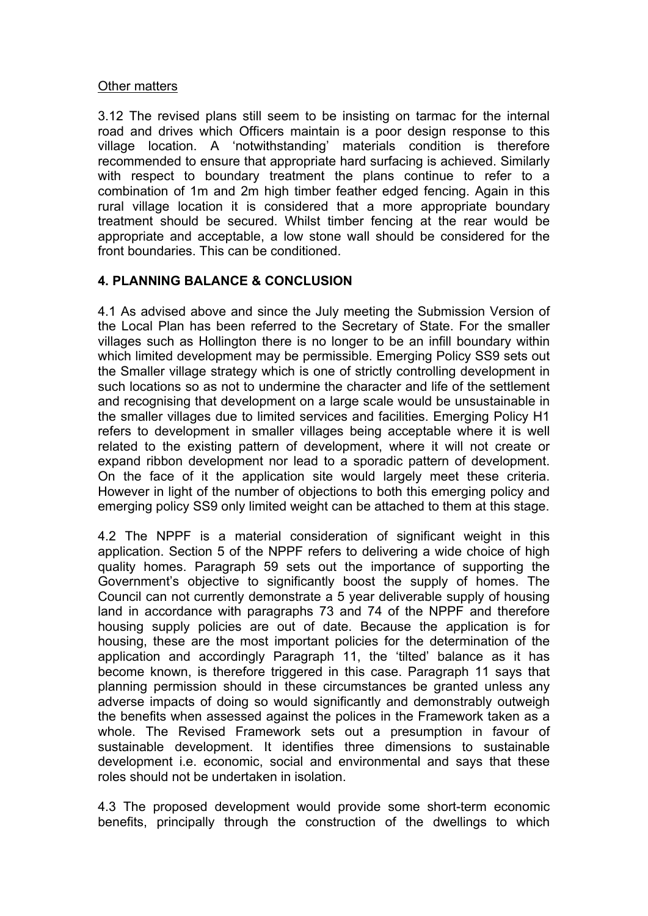#### Other matters

3.12 The revised plans still seem to be insisting on tarmac for the internal road and drives which Officers maintain is a poor design response to this village location. A 'notwithstanding' materials condition is therefore recommended to ensure that appropriate hard surfacing is achieved. Similarly with respect to boundary treatment the plans continue to refer to a combination of 1m and 2m high timber feather edged fencing. Again in this rural village location it is considered that a more appropriate boundary treatment should be secured. Whilst timber fencing at the rear would be appropriate and acceptable, a low stone wall should be considered for the front boundaries. This can be conditioned.

# **4. PLANNING BALANCE & CONCLUSION**

4.1 As advised above and since the July meeting the Submission Version of the Local Plan has been referred to the Secretary of State. For the smaller villages such as Hollington there is no longer to be an infill boundary within which limited development may be permissible. Emerging Policy SS9 sets out the Smaller village strategy which is one of strictly controlling development in such locations so as not to undermine the character and life of the settlement and recognising that development on a large scale would be unsustainable in the smaller villages due to limited services and facilities. Emerging Policy H1 refers to development in smaller villages being acceptable where it is well related to the existing pattern of development, where it will not create or expand ribbon development nor lead to a sporadic pattern of development. On the face of it the application site would largely meet these criteria. However in light of the number of objections to both this emerging policy and emerging policy SS9 only limited weight can be attached to them at this stage.

4.2 The NPPF is a material consideration of significant weight in this application. Section 5 of the NPPF refers to delivering a wide choice of high quality homes. Paragraph 59 sets out the importance of supporting the Government's objective to significantly boost the supply of homes. The Council can not currently demonstrate a 5 year deliverable supply of housing land in accordance with paragraphs 73 and 74 of the NPPF and therefore housing supply policies are out of date. Because the application is for housing, these are the most important policies for the determination of the application and accordingly Paragraph 11, the 'tilted' balance as it has become known, is therefore triggered in this case. Paragraph 11 says that planning permission should in these circumstances be granted unless any adverse impacts of doing so would significantly and demonstrably outweigh the benefits when assessed against the polices in the Framework taken as a whole. The Revised Framework sets out a presumption in favour of sustainable development. It identifies three dimensions to sustainable development i.e. economic, social and environmental and says that these roles should not be undertaken in isolation.

4.3 The proposed development would provide some short-term economic benefits, principally through the construction of the dwellings to which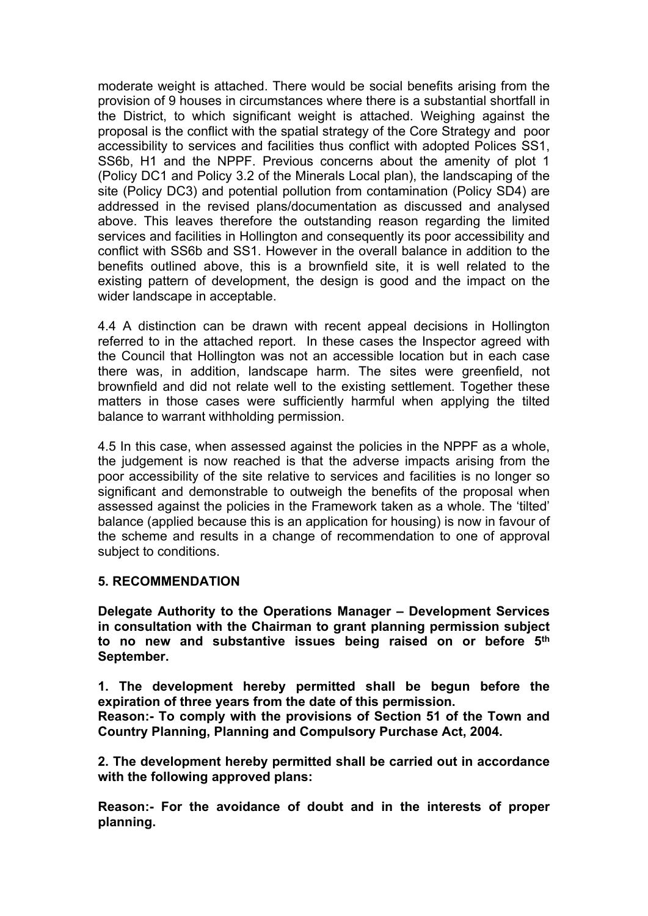moderate weight is attached. There would be social benefits arising from the provision of 9 houses in circumstances where there is a substantial shortfall in the District, to which significant weight is attached. Weighing against the proposal is the conflict with the spatial strategy of the Core Strategy and poor accessibility to services and facilities thus conflict with adopted Polices SS1, SS6b, H1 and the NPPF. Previous concerns about the amenity of plot 1 (Policy DC1 and Policy 3.2 of the Minerals Local plan), the landscaping of the site (Policy DC3) and potential pollution from contamination (Policy SD4) are addressed in the revised plans/documentation as discussed and analysed above. This leaves therefore the outstanding reason regarding the limited services and facilities in Hollington and consequently its poor accessibility and conflict with SS6b and SS1. However in the overall balance in addition to the benefits outlined above, this is a brownfield site, it is well related to the existing pattern of development, the design is good and the impact on the wider landscape in acceptable.

4.4 A distinction can be drawn with recent appeal decisions in Hollington referred to in the attached report. In these cases the Inspector agreed with the Council that Hollington was not an accessible location but in each case there was, in addition, landscape harm. The sites were greenfield, not brownfield and did not relate well to the existing settlement. Together these matters in those cases were sufficiently harmful when applying the tilted balance to warrant withholding permission.

4.5 In this case, when assessed against the policies in the NPPF as a whole, the judgement is now reached is that the adverse impacts arising from the poor accessibility of the site relative to services and facilities is no longer so significant and demonstrable to outweigh the benefits of the proposal when assessed against the policies in the Framework taken as a whole. The 'tilted' balance (applied because this is an application for housing) is now in favour of the scheme and results in a change of recommendation to one of approval subject to conditions.

# **5. RECOMMENDATION**

**Delegate Authority to the Operations Manager – Development Services in consultation with the Chairman to grant planning permission subject to no new and substantive issues being raised on or before 5 th September.**

**1. The development hereby permitted shall be begun before the expiration of three years from the date of this permission.**

**Reason:- To comply with the provisions of Section 51 of the Town and Country Planning, Planning and Compulsory Purchase Act, 2004.**

**2. The development hereby permitted shall be carried out in accordance with the following approved plans:**

**Reason:- For the avoidance of doubt and in the interests of proper planning.**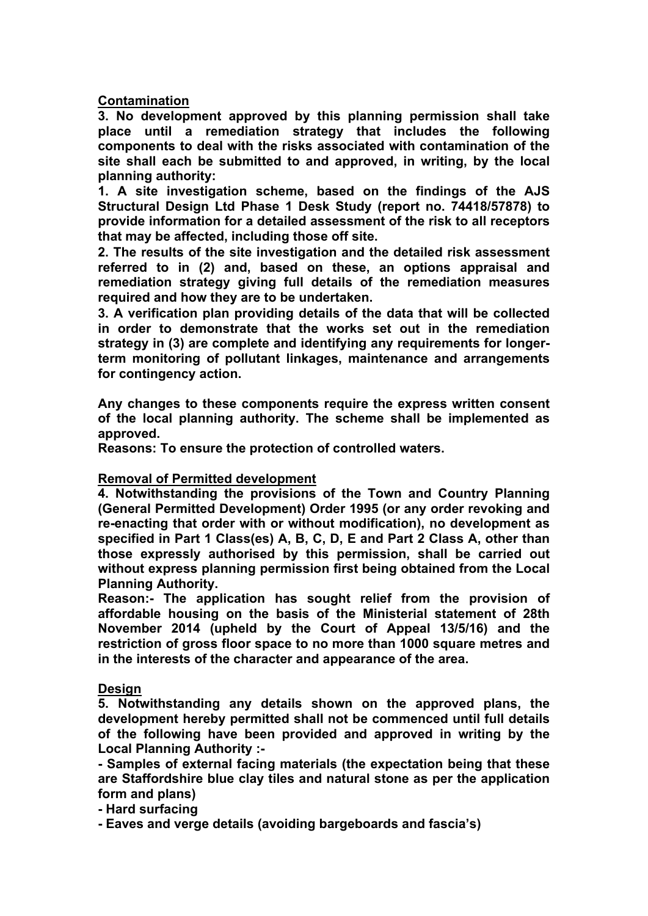**Contamination**

**3. No development approved by this planning permission shall take place until a remediation strategy that includes the following components to deal with the risks associated with contamination of the site shall each be submitted to and approved, in writing, by the local planning authority:**

**1. A site investigation scheme, based on the findings of the AJS Structural Design Ltd Phase 1 Desk Study (report no. 74418/57878) to provide information for a detailed assessment of the risk to all receptors that may be affected, including those off site.**

**2. The results of the site investigation and the detailed risk assessment referred to in (2) and, based on these, an options appraisal and remediation strategy giving full details of the remediation measures required and how they are to be undertaken.**

**3. A verification plan providing details of the data that will be collected in order to demonstrate that the works set out in the remediation strategy in (3) are complete and identifying any requirements for longerterm monitoring of pollutant linkages, maintenance and arrangements for contingency action.**

**Any changes to these components require the express written consent of the local planning authority. The scheme shall be implemented as approved.**

**Reasons: To ensure the protection of controlled waters.**

# **Removal of Permitted development**

**4. Notwithstanding the provisions of the Town and Country Planning (General Permitted Development) Order 1995 (or any order revoking and re-enacting that order with or without modification), no development as specified in Part 1 Class(es) A, B, C, D, E and Part 2 Class A, other than those expressly authorised by this permission, shall be carried out without express planning permission first being obtained from the Local Planning Authority.**

**Reason:- The application has sought relief from the provision of affordable housing on the basis of the Ministerial statement of 28th November 2014 (upheld by the Court of Appeal 13/5/16) and the restriction of gross floor space to no more than 1000 square metres and in the interests of the character and appearance of the area.**

**Design**

**5. Notwithstanding any details shown on the approved plans, the development hereby permitted shall not be commenced until full details of the following have been provided and approved in writing by the Local Planning Authority :-**

**- Samples of external facing materials (the expectation being that these are Staffordshire blue clay tiles and natural stone as per the application form and plans)**

**- Hard surfacing**

**- Eaves and verge details (avoiding bargeboards and fascia's)**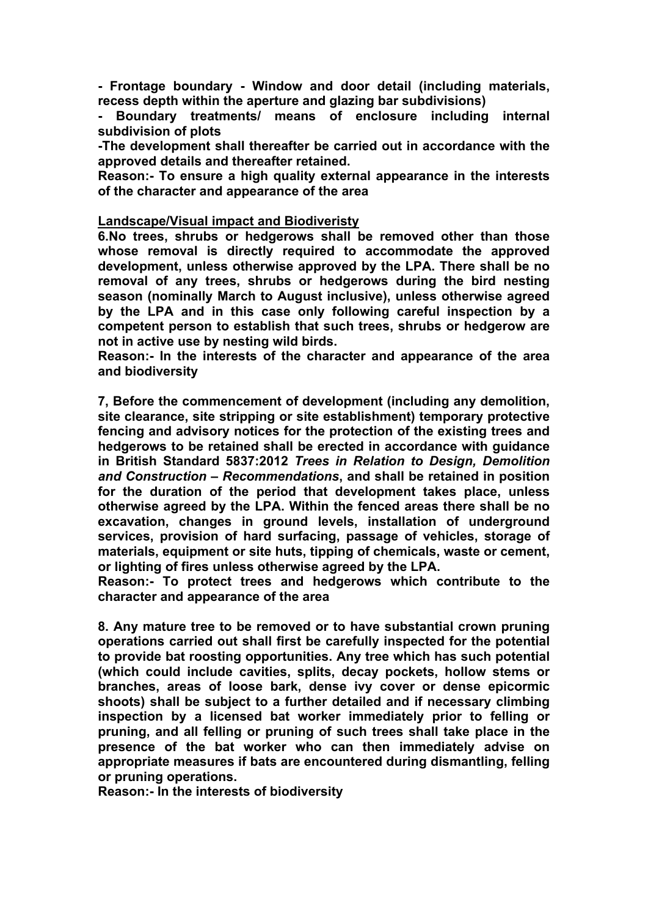**- Frontage boundary - Window and door detail (including materials, recess depth within the aperture and glazing bar subdivisions)**

**- Boundary treatments/ means of enclosure including internal subdivision of plots**

**-The development shall thereafter be carried out in accordance with the approved details and thereafter retained.**

**Reason:- To ensure a high quality external appearance in the interests of the character and appearance of the area**

#### **Landscape/Visual impact and Biodiveristy**

**6.No trees, shrubs or hedgerows shall be removed other than those whose removal is directly required to accommodate the approved development, unless otherwise approved by the LPA. There shall be no removal of any trees, shrubs or hedgerows during the bird nesting season (nominally March to August inclusive), unless otherwise agreed by the LPA and in this case only following careful inspection by a competent person to establish that such trees, shrubs or hedgerow are not in active use by nesting wild birds.**

**Reason:- In the interests of the character and appearance of the area and biodiversity**

**7, Before the commencement of development (including any demolition, site clearance, site stripping or site establishment) temporary protective fencing and advisory notices for the protection of the existing trees and hedgerows to be retained shall be erected in accordance with guidance in British Standard 5837:2012** *Trees in Relation to Design, Demolition and Construction – Recommendations***, and shall be retained in position for the duration of the period that development takes place, unless otherwise agreed by the LPA. Within the fenced areas there shall be no excavation, changes in ground levels, installation of underground services, provision of hard surfacing, passage of vehicles, storage of materials, equipment or site huts, tipping of chemicals, waste or cement, or lighting of fires unless otherwise agreed by the LPA.**

**Reason:- To protect trees and hedgerows which contribute to the character and appearance of the area**

**8. Any mature tree to be removed or to have substantial crown pruning operations carried out shall first be carefully inspected for the potential to provide bat roosting opportunities. Any tree which has such potential (which could include cavities, splits, decay pockets, hollow stems or branches, areas of loose bark, dense ivy cover or dense epicormic shoots) shall be subject to a further detailed and if necessary climbing inspection by a licensed bat worker immediately prior to felling or pruning, and all felling or pruning of such trees shall take place in the presence of the bat worker who can then immediately advise on appropriate measures if bats are encountered during dismantling, felling or pruning operations.**

**Reason:- In the interests of biodiversity**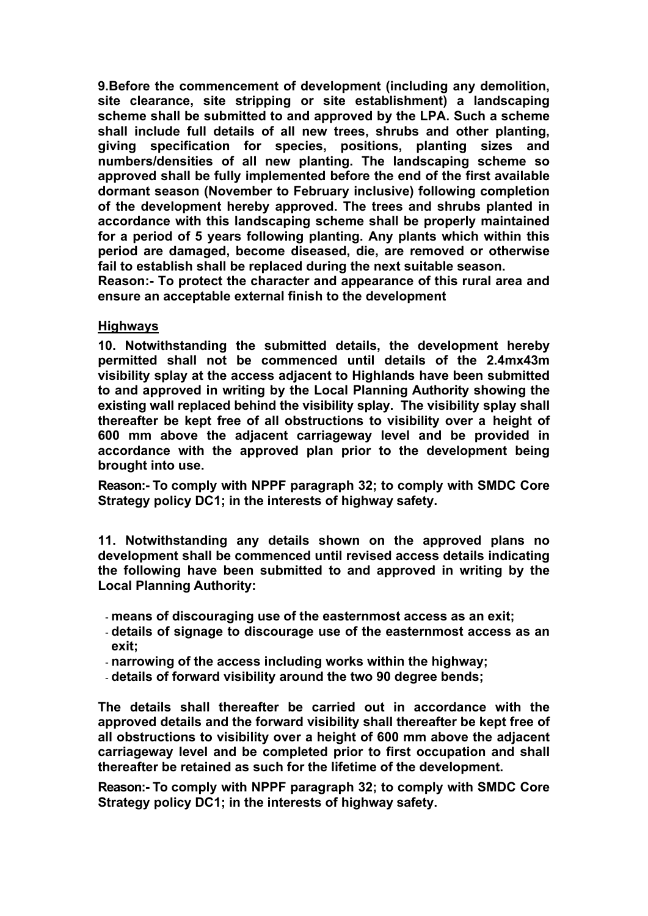**9.Before the commencement of development (including any demolition, site clearance, site stripping or site establishment) a landscaping scheme shall be submitted to and approved by the LPA. Such a scheme shall include full details of all new trees, shrubs and other planting, giving specification for species, positions, planting sizes and numbers/densities of all new planting. The landscaping scheme so approved shall be fully implemented before the end of the first available dormant season (November to February inclusive) following completion of the development hereby approved. The trees and shrubs planted in accordance with this landscaping scheme shall be properly maintained for a period of 5 years following planting. Any plants which within this period are damaged, become diseased, die, are removed or otherwise fail to establish shall be replaced during the next suitable season.**

**Reason:- To protect the character and appearance of this rural area and ensure an acceptable external finish to the development**

#### **Highways**

**10. Notwithstanding the submitted details, the development hereby permitted shall not be commenced until details of the 2.4mx43m visibility splay at the access adjacent to Highlands have been submitted to and approved in writing by the Local Planning Authority showing the existing wall replaced behind the visibility splay. The visibility splay shall thereafter be kept free of all obstructions to visibility over a height of 600 mm above the adjacent carriageway level and be provided in accordance with the approved plan prior to the development being brought into use.**

**Reason:- To comply with NPPF paragraph 32; to comply with SMDC Core Strategy policy DC1; in the interests of highway safety.**

**11. Notwithstanding any details shown on the approved plans no development shall be commenced until revised access details indicating the following have been submitted to and approved in writing by the Local Planning Authority:**

- **means of discouraging use of the easternmost access as an exit;**
- **details of signage to discourage use of the easternmost access as an exit;**
- **narrowing of the access including works within the highway;**
- **details of forward visibility around the two 90 degree bends;**

**The details shall thereafter be carried out in accordance with the approved details and the forward visibility shall thereafter be kept free of all obstructions to visibility over a height of 600 mm above the adjacent carriageway level and be completed prior to first occupation and shall thereafter be retained as such for the lifetime of the development.**

**Reason:- To comply with NPPF paragraph 32; to comply with SMDC Core Strategy policy DC1; in the interests of highway safety.**